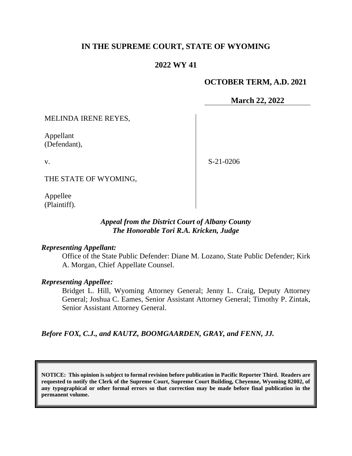# **IN THE SUPREME COURT, STATE OF WYOMING**

# **2022 WY 41**

# **OCTOBER TERM, A.D. 2021**

**March 22, 2022**

MELINDA IRENE REYES,

Appellant (Defendant),

v.

S-21-0206

THE STATE OF WYOMING,

Appellee (Plaintiff).

## *Appeal from the District Court of Albany County The Honorable Tori R.A. Kricken, Judge*

### *Representing Appellant:*

Office of the State Public Defender: Diane M. Lozano, State Public Defender; Kirk A. Morgan, Chief Appellate Counsel.

### *Representing Appellee:*

Bridget L. Hill, Wyoming Attorney General; Jenny L. Craig, Deputy Attorney General; Joshua C. Eames, Senior Assistant Attorney General; Timothy P. Zintak, Senior Assistant Attorney General.

*Before FOX, C.J., and KAUTZ, BOOMGAARDEN, GRAY, and FENN, JJ.*

**NOTICE: This opinion is subject to formal revision before publication in Pacific Reporter Third. Readers are requested to notify the Clerk of the Supreme Court, Supreme Court Building, Cheyenne, Wyoming 82002, of any typographical or other formal errors so that correction may be made before final publication in the permanent volume.**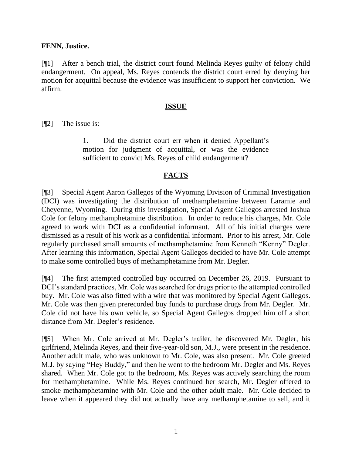### **FENN, Justice.**

[¶1] After a bench trial, the district court found Melinda Reyes guilty of felony child endangerment. On appeal, Ms. Reyes contends the district court erred by denying her motion for acquittal because the evidence was insufficient to support her conviction. We affirm.

### **ISSUE**

[¶2] The issue is:

1. Did the district court err when it denied Appellant's motion for judgment of acquittal, or was the evidence sufficient to convict Ms. Reyes of child endangerment?

# **FACTS**

[¶3] Special Agent Aaron Gallegos of the Wyoming Division of Criminal Investigation (DCI) was investigating the distribution of methamphetamine between Laramie and Cheyenne, Wyoming. During this investigation, Special Agent Gallegos arrested Joshua Cole for felony methamphetamine distribution. In order to reduce his charges, Mr. Cole agreed to work with DCI as a confidential informant. All of his initial charges were dismissed as a result of his work as a confidential informant. Prior to his arrest, Mr. Cole regularly purchased small amounts of methamphetamine from Kenneth "Kenny" Degler. After learning this information, Special Agent Gallegos decided to have Mr. Cole attempt to make some controlled buys of methamphetamine from Mr. Degler.

[¶4] The first attempted controlled buy occurred on December 26, 2019. Pursuant to DCI's standard practices, Mr. Cole was searched for drugs prior to the attempted controlled buy. Mr. Cole was also fitted with a wire that was monitored by Special Agent Gallegos. Mr. Cole was then given prerecorded buy funds to purchase drugs from Mr. Degler. Mr. Cole did not have his own vehicle, so Special Agent Gallegos dropped him off a short distance from Mr. Degler's residence.

[¶5] When Mr. Cole arrived at Mr. Degler's trailer, he discovered Mr. Degler, his girlfriend, Melinda Reyes, and their five-year-old son, M.J., were present in the residence. Another adult male, who was unknown to Mr. Cole, was also present. Mr. Cole greeted M.J. by saying "Hey Buddy," and then he went to the bedroom Mr. Degler and Ms. Reyes shared. When Mr. Cole got to the bedroom, Ms. Reyes was actively searching the room for methamphetamine. While Ms. Reyes continued her search, Mr. Degler offered to smoke methamphetamine with Mr. Cole and the other adult male. Mr. Cole decided to leave when it appeared they did not actually have any methamphetamine to sell, and it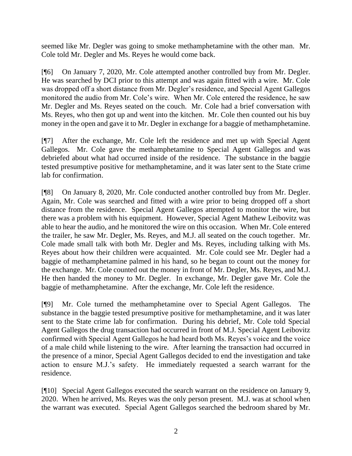seemed like Mr. Degler was going to smoke methamphetamine with the other man. Mr. Cole told Mr. Degler and Ms. Reyes he would come back.

[¶6] On January 7, 2020, Mr. Cole attempted another controlled buy from Mr. Degler. He was searched by DCI prior to this attempt and was again fitted with a wire. Mr. Cole was dropped off a short distance from Mr. Degler's residence, and Special Agent Gallegos monitored the audio from Mr. Cole's wire. When Mr. Cole entered the residence, he saw Mr. Degler and Ms. Reyes seated on the couch. Mr. Cole had a brief conversation with Ms. Reyes, who then got up and went into the kitchen. Mr. Cole then counted out his buy money in the open and gave it to Mr. Degler in exchange for a baggie of methamphetamine.

[¶7] After the exchange, Mr. Cole left the residence and met up with Special Agent Gallegos. Mr. Cole gave the methamphetamine to Special Agent Gallegos and was debriefed about what had occurred inside of the residence. The substance in the baggie tested presumptive positive for methamphetamine, and it was later sent to the State crime lab for confirmation.

[¶8] On January 8, 2020, Mr. Cole conducted another controlled buy from Mr. Degler. Again, Mr. Cole was searched and fitted with a wire prior to being dropped off a short distance from the residence. Special Agent Gallegos attempted to monitor the wire, but there was a problem with his equipment. However, Special Agent Mathew Leibovitz was able to hear the audio, and he monitored the wire on this occasion. When Mr. Cole entered the trailer, he saw Mr. Degler, Ms. Reyes, and M.J. all seated on the couch together. Mr. Cole made small talk with both Mr. Degler and Ms. Reyes, including talking with Ms. Reyes about how their children were acquainted. Mr. Cole could see Mr. Degler had a baggie of methamphetamine palmed in his hand, so he began to count out the money for the exchange. Mr. Cole counted out the money in front of Mr. Degler, Ms. Reyes, and M.J. He then handed the money to Mr. Degler. In exchange, Mr. Degler gave Mr. Cole the baggie of methamphetamine. After the exchange, Mr. Cole left the residence.

[¶9] Mr. Cole turned the methamphetamine over to Special Agent Gallegos. The substance in the baggie tested presumptive positive for methamphetamine, and it was later sent to the State crime lab for confirmation. During his debrief, Mr. Cole told Special Agent Gallegos the drug transaction had occurred in front of M.J. Special Agent Leibovitz confirmed with Special Agent Gallegos he had heard both Ms. Reyes's voice and the voice of a male child while listening to the wire. After learning the transaction had occurred in the presence of a minor, Special Agent Gallegos decided to end the investigation and take action to ensure M.J.'s safety. He immediately requested a search warrant for the residence.

[¶10] Special Agent Gallegos executed the search warrant on the residence on January 9, 2020. When he arrived, Ms. Reyes was the only person present. M.J. was at school when the warrant was executed. Special Agent Gallegos searched the bedroom shared by Mr.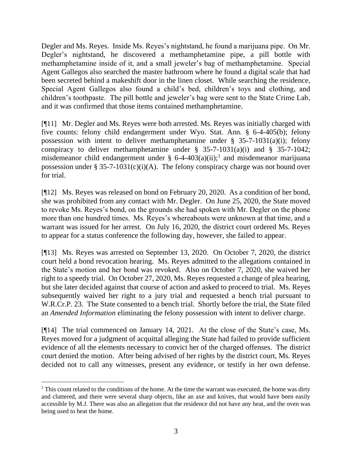Degler and Ms. Reyes. Inside Ms. Reyes's nightstand, he found a marijuana pipe. On Mr. Degler's nightstand, he discovered a methamphetamine pipe, a pill bottle with methamphetamine inside of it, and a small jeweler's bag of methamphetamine. Special Agent Gallegos also searched the master bathroom where he found a digital scale that had been secreted behind a makeshift door in the linen closet. While searching the residence, Special Agent Gallegos also found a child's bed, children's toys and clothing, and children's toothpaste. The pill bottle and jeweler's bag were sent to the State Crime Lab, and it was confirmed that those items contained methamphetamine.

[¶11] Mr. Degler and Ms. Reyes were both arrested. Ms. Reyes was initially charged with five counts: felony child endangerment under Wyo. Stat. Ann. § 6-4-405(b); felony possession with intent to deliver methamphetamine under  $\S$  35-7-1031(a)(i); felony conspiracy to deliver methamphetamine under  $\S$  35-7-1031(a)(i) and  $\S$  35-7-1042; misdemeanor child endangerment under §  $6-4-403(a)(ii);$ <sup>1</sup> and misdemeanor marijuana possession under § 35-7-1031(c)(i)(A). The felony conspiracy charge was not bound over for trial.

[¶12] Ms. Reyes was released on bond on February 20, 2020. As a condition of her bond, she was prohibited from any contact with Mr. Degler. On June 25, 2020, the State moved to revoke Ms. Reyes's bond, on the grounds she had spoken with Mr. Degler on the phone more than one hundred times. Ms. Reyes's whereabouts were unknown at that time, and a warrant was issued for her arrest. On July 16, 2020, the district court ordered Ms. Reyes to appear for a status conference the following day, however, she failed to appear.

[¶13] Ms. Reyes was arrested on September 13, 2020. On October 7, 2020, the district court held a bond revocation hearing. Ms. Reyes admitted to the allegations contained in the State's motion and her bond was revoked. Also on October 7, 2020, she waived her right to a speedy trial. On October 27, 2020, Ms. Reyes requested a change of plea hearing, but she later decided against that course of action and asked to proceed to trial. Ms. Reyes subsequently waived her right to a jury trial and requested a bench trial pursuant to W.R.Cr.P. 23. The State consented to a bench trial. Shortly before the trial, the State filed an *Amended Information* eliminating the felony possession with intent to deliver charge.

[¶14] The trial commenced on January 14, 2021. At the close of the State's case, Ms. Reyes moved for a judgment of acquittal alleging the State had failed to provide sufficient evidence of all the elements necessary to convict her of the charged offenses. The district court denied the motion. After being advised of her rights by the district court, Ms. Reyes decided not to call any witnesses, present any evidence, or testify in her own defense.

<sup>&</sup>lt;sup>1</sup> This count related to the conditions of the home. At the time the warrant was executed, the home was dirty and cluttered, and there were several sharp objects, like an axe and knives, that would have been easily accessible by M.J. There was also an allegation that the residence did not have any heat, and the oven was being used to heat the home.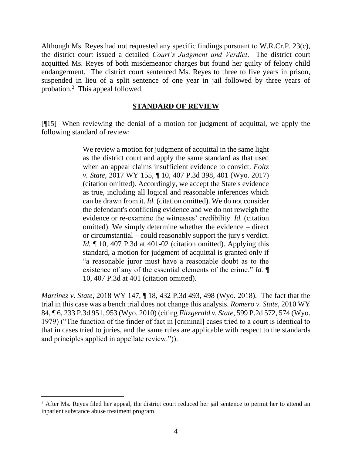Although Ms. Reyes had not requested any specific findings pursuant to W.R.Cr.P. 23(c), the district court issued a detailed *Court's Judgment and Verdict*. The district court acquitted Ms. Reyes of both misdemeanor charges but found her guilty of felony child endangerment. The district court sentenced Ms. Reyes to three to five years in prison, suspended in lieu of a split sentence of one year in jail followed by three years of probation.<sup>2</sup> This appeal followed.

### **STANDARD OF REVIEW**

[¶15] When reviewing the denial of a motion for judgment of acquittal, we apply the following standard of review:

> We review a motion for judgment of acquittal in the same light as the district court and apply the same standard as that used when an appeal claims insufficient evidence to convict. *Foltz v. State*, 2017 WY 155, ¶ 10, 407 P.3d 398, 401 (Wyo. 2017) (citation omitted). Accordingly, we accept the State's evidence as true, including all logical and reasonable inferences which can be drawn from it. *Id.* (citation omitted). We do not consider the defendant's conflicting evidence and we do not reweigh the evidence or re-examine the witnesses' credibility. *Id.* (citation omitted). We simply determine whether the evidence – direct or circumstantial – could reasonably support the jury's verdict. *Id.*  $\llbracket$  10, 407 P.3d at 401-02 (citation omitted). Applying this standard, a motion for judgment of acquittal is granted only if "a reasonable juror must have a reasonable doubt as to the existence of any of the essential elements of the crime." *Id.* ¶ 10, 407 P.3d at 401 (citation omitted).

*Martinez v. State*, 2018 WY 147, ¶ 18, 432 P.3d 493, 498 (Wyo. 2018). The fact that the trial in this case was a bench trial does not change this analysis. *Romero v. State*, 2010 WY 84, ¶ 6, 233 P.3d 951, 953 (Wyo. 2010) (citing *Fitzgerald v. State*, 599 P.2d 572, 574 (Wyo. 1979) ("The function of the finder of fact in [criminal] cases tried to a court is identical to that in cases tried to juries, and the same rules are applicable with respect to the standards and principles applied in appellate review.")).

<sup>&</sup>lt;sup>2</sup> After Ms. Reyes filed her appeal, the district court reduced her jail sentence to permit her to attend an inpatient substance abuse treatment program.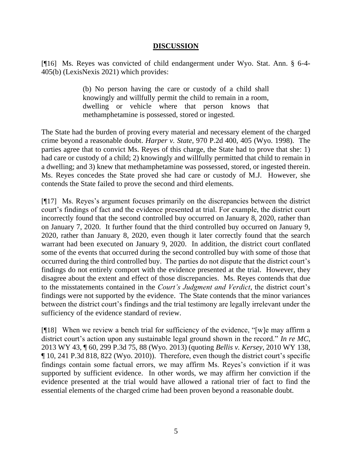### **DISCUSSION**

[¶16] Ms. Reyes was convicted of child endangerment under Wyo. Stat. Ann. § 6-4- 405(b) (LexisNexis 2021) which provides:

> (b) No person having the care or custody of a child shall knowingly and willfully permit the child to remain in a room, dwelling or vehicle where that person knows that methamphetamine is possessed, stored or ingested.

The State had the burden of proving every material and necessary element of the charged crime beyond a reasonable doubt. *Harper v. State*, 970 P.2d 400, 405 (Wyo. 1998). The parties agree that to convict Ms. Reyes of this charge, the State had to prove that she: 1) had care or custody of a child; 2) knowingly and willfully permitted that child to remain in a dwelling; and 3) knew that methamphetamine was possessed, stored, or ingested therein. Ms. Reyes concedes the State proved she had care or custody of M.J. However, she contends the State failed to prove the second and third elements.

[¶17] Ms. Reyes's argument focuses primarily on the discrepancies between the district court's findings of fact and the evidence presented at trial. For example, the district court incorrectly found that the second controlled buy occurred on January 8, 2020, rather than on January 7, 2020. It further found that the third controlled buy occurred on January 9, 2020, rather than January 8, 2020, even though it later correctly found that the search warrant had been executed on January 9, 2020. In addition, the district court conflated some of the events that occurred during the second controlled buy with some of those that occurred during the third controlled buy. The parties do not dispute that the district court's findings do not entirely comport with the evidence presented at the trial. However, they disagree about the extent and effect of those discrepancies. Ms. Reyes contends that due to the misstatements contained in the *Court's Judgment and Verdict*, the district court's findings were not supported by the evidence. The State contends that the minor variances between the district court's findings and the trial testimony are legally irrelevant under the sufficiency of the evidence standard of review.

[¶18] When we review a bench trial for sufficiency of the evidence, "[w]e may affirm a district court's action upon any sustainable legal ground shown in the record." *In re MC*, 2013 WY 43, ¶ 60, 299 P.3d 75, 88 (Wyo. 2013) (quoting *Bellis v. Kersey*, 2010 WY 138, ¶ 10, 241 P.3d 818, 822 (Wyo. 2010)). Therefore, even though the district court's specific findings contain some factual errors, we may affirm Ms. Reyes's conviction if it was supported by sufficient evidence. In other words, we may affirm her conviction if the evidence presented at the trial would have allowed a rational trier of fact to find the essential elements of the charged crime had been proven beyond a reasonable doubt.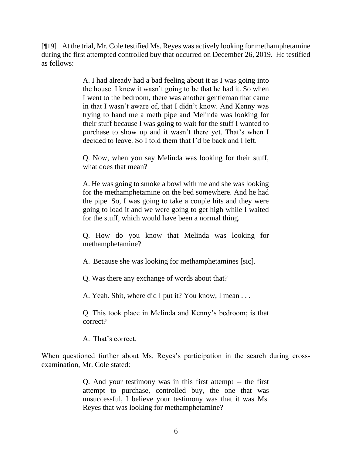[¶19] At the trial, Mr. Cole testified Ms. Reyes was actively looking for methamphetamine during the first attempted controlled buy that occurred on December 26, 2019. He testified as follows:

> A. I had already had a bad feeling about it as I was going into the house. I knew it wasn't going to be that he had it. So when I went to the bedroom, there was another gentleman that came in that I wasn't aware of, that I didn't know. And Kenny was trying to hand me a meth pipe and Melinda was looking for their stuff because I was going to wait for the stuff I wanted to purchase to show up and it wasn't there yet. That's when I decided to leave. So I told them that I'd be back and I left.

> Q. Now, when you say Melinda was looking for their stuff, what does that mean?

> A. He was going to smoke a bowl with me and she was looking for the methamphetamine on the bed somewhere. And he had the pipe. So, I was going to take a couple hits and they were going to load it and we were going to get high while I waited for the stuff, which would have been a normal thing.

> Q. How do you know that Melinda was looking for methamphetamine?

A. Because she was looking for methamphetamines [sic].

Q. Was there any exchange of words about that?

A. Yeah. Shit, where did I put it? You know, I mean . . .

Q. This took place in Melinda and Kenny's bedroom; is that correct?

A. That's correct.

When questioned further about Ms. Reyes's participation in the search during crossexamination, Mr. Cole stated:

> Q. And your testimony was in this first attempt -- the first attempt to purchase, controlled buy, the one that was unsuccessful, I believe your testimony was that it was Ms. Reyes that was looking for methamphetamine?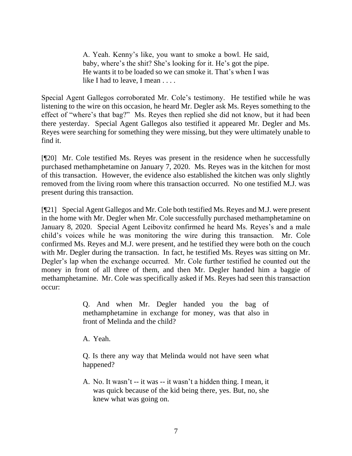A. Yeah. Kenny's like, you want to smoke a bowl. He said, baby, where's the shit? She's looking for it. He's got the pipe. He wants it to be loaded so we can smoke it. That's when I was like I had to leave. I mean . . . .

Special Agent Gallegos corroborated Mr. Cole's testimony. He testified while he was listening to the wire on this occasion, he heard Mr. Degler ask Ms. Reyes something to the effect of "where's that bag?" Ms. Reyes then replied she did not know, but it had been there yesterday. Special Agent Gallegos also testified it appeared Mr. Degler and Ms. Reyes were searching for something they were missing, but they were ultimately unable to find it.

[¶20] Mr. Cole testified Ms. Reyes was present in the residence when he successfully purchased methamphetamine on January 7, 2020. Ms. Reyes was in the kitchen for most of this transaction. However, the evidence also established the kitchen was only slightly removed from the living room where this transaction occurred. No one testified M.J. was present during this transaction.

[¶21] Special Agent Gallegos and Mr. Cole both testified Ms. Reyes and M.J. were present in the home with Mr. Degler when Mr. Cole successfully purchased methamphetamine on January 8, 2020. Special Agent Leibovitz confirmed he heard Ms. Reyes's and a male child's voices while he was monitoring the wire during this transaction. Mr. Cole confirmed Ms. Reyes and M.J. were present, and he testified they were both on the couch with Mr. Degler during the transaction. In fact, he testified Ms. Reyes was sitting on Mr. Degler's lap when the exchange occurred. Mr. Cole further testified he counted out the money in front of all three of them, and then Mr. Degler handed him a baggie of methamphetamine. Mr. Cole was specifically asked if Ms. Reyes had seen this transaction occur:

> Q. And when Mr. Degler handed you the bag of methamphetamine in exchange for money, was that also in front of Melinda and the child?

A. Yeah.

Q. Is there any way that Melinda would not have seen what happened?

A. No. It wasn't -- it was -- it wasn't a hidden thing. I mean, it was quick because of the kid being there, yes. But, no, she knew what was going on.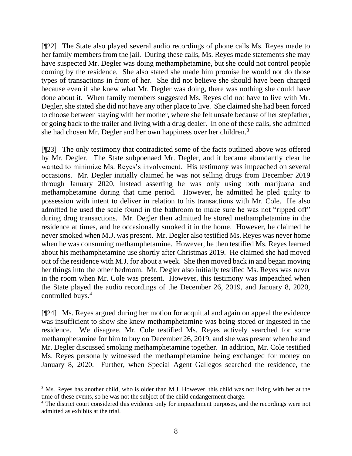[¶22] The State also played several audio recordings of phone calls Ms. Reyes made to her family members from the jail. During these calls, Ms. Reyes made statements she may have suspected Mr. Degler was doing methamphetamine, but she could not control people coming by the residence. She also stated she made him promise he would not do those types of transactions in front of her. She did not believe she should have been charged because even if she knew what Mr. Degler was doing, there was nothing she could have done about it. When family members suggested Ms. Reyes did not have to live with Mr. Degler, she stated she did not have any other place to live. She claimed she had been forced to choose between staying with her mother, where she felt unsafe because of her stepfather, or going back to the trailer and living with a drug dealer. In one of these calls, she admitted she had chosen Mr. Degler and her own happiness over her children.<sup>3</sup>

[¶23] The only testimony that contradicted some of the facts outlined above was offered by Mr. Degler. The State subpoenaed Mr. Degler, and it became abundantly clear he wanted to minimize Ms. Reyes's involvement. His testimony was impeached on several occasions. Mr. Degler initially claimed he was not selling drugs from December 2019 through January 2020, instead asserting he was only using both marijuana and methamphetamine during that time period. However, he admitted he pled guilty to possession with intent to deliver in relation to his transactions with Mr. Cole. He also admitted he used the scale found in the bathroom to make sure he was not "ripped off" during drug transactions. Mr. Degler then admitted he stored methamphetamine in the residence at times, and he occasionally smoked it in the home. However, he claimed he never smoked when M.J. was present. Mr. Degler also testified Ms. Reyes was never home when he was consuming methamphetamine. However, he then testified Ms. Reyes learned about his methamphetamine use shortly after Christmas 2019. He claimed she had moved out of the residence with M.J. for about a week. She then moved back in and began moving her things into the other bedroom. Mr. Degler also initially testified Ms. Reyes was never in the room when Mr. Cole was present. However, this testimony was impeached when the State played the audio recordings of the December 26, 2019, and January 8, 2020, controlled buys.<sup>4</sup>

[¶24] Ms. Reyes argued during her motion for acquittal and again on appeal the evidence was insufficient to show she knew methamphetamine was being stored or ingested in the residence. We disagree. Mr. Cole testified Ms. Reyes actively searched for some methamphetamine for him to buy on December 26, 2019, and she was present when he and Mr. Degler discussed smoking methamphetamine together. In addition, Mr. Cole testified Ms. Reyes personally witnessed the methamphetamine being exchanged for money on January 8, 2020. Further, when Special Agent Gallegos searched the residence, the

<sup>&</sup>lt;sup>3</sup> Ms. Reyes has another child, who is older than M.J. However, this child was not living with her at the time of these events, so he was not the subject of the child endangerment charge.

<sup>4</sup> The district court considered this evidence only for impeachment purposes, and the recordings were not admitted as exhibits at the trial.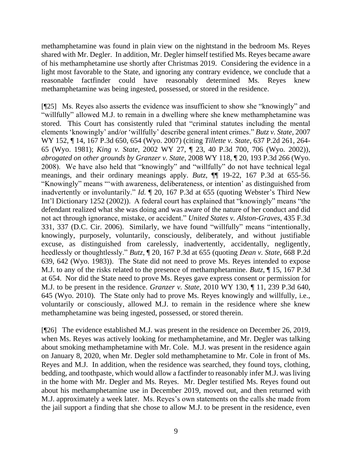methamphetamine was found in plain view on the nightstand in the bedroom Ms. Reyes shared with Mr. Degler. In addition, Mr. Degler himself testified Ms. Reyes became aware of his methamphetamine use shortly after Christmas 2019. Considering the evidence in a light most favorable to the State, and ignoring any contrary evidence, we conclude that a reasonable factfinder could have reasonably determined Ms. Reyes knew methamphetamine was being ingested, possessed, or stored in the residence.

[¶25] Ms. Reyes also asserts the evidence was insufficient to show she "knowingly" and "willfully" allowed M.J. to remain in a dwelling where she knew methamphetamine was stored. This Court has consistently ruled that "criminal statutes including the mental elements 'knowingly' and/or 'willfully' describe general intent crimes." *Butz v. State*, 2007 WY 152, ¶ 14, 167 P.3d 650, 654 (Wyo. 2007) (citing *Tillette v. State*, 637 P.2d 261, 264- 65 (Wyo. 1981); *King v. State*, 2002 WY 27, ¶ 23, 40 P.3d 700, 706 (Wyo. 2002)), *abrogated on other grounds by Granzer v. State*, 2008 WY 118, ¶ 20, 193 P.3d 266 (Wyo. 2008). We have also held that "knowingly" and "willfully" do not have technical legal meanings, and their ordinary meanings apply. *Butz*,  $\P$  19-22, 167 P.3d at 655-56. "Knowingly" means "'with awareness, deliberateness, or intention' as distinguished from inadvertently or involuntarily." *Id.* ¶ 20, 167 P.3d at 655 (quoting Webster's Third New Int'l Dictionary 1252 (2002)). A federal court has explained that "knowingly" means "the defendant realized what she was doing and was aware of the nature of her conduct and did not act through ignorance, mistake, or accident." *United States v. Alston-Graves*, 435 F.3d 331, 337 (D.C. Cir. 2006). Similarly, we have found "willfully" means "intentionally, knowingly, purposely, voluntarily, consciously, deliberately, and without justifiable excuse, as distinguished from carelessly, inadvertently, accidentally, negligently, heedlessly or thoughtlessly." *Butz*, ¶ 20, 167 P.3d at 655 (quoting *Dean v. State*, 668 P.2d 639, 642 (Wyo. 1983)). The State did not need to prove Ms. Reyes intended to expose M.J. to any of the risks related to the presence of methamphetamine. *Butz*, ¶ 15, 167 P.3d at 654. Nor did the State need to prove Ms. Reyes gave express consent or permission for M.J. to be present in the residence. *Granzer v. State*, 2010 WY 130, ¶ 11, 239 P.3d 640, 645 (Wyo. 2010). The State only had to prove Ms. Reyes knowingly and willfully, i.e., voluntarily or consciously, allowed M.J. to remain in the residence where she knew methamphetamine was being ingested, possessed, or stored therein.

[¶26] The evidence established M.J. was present in the residence on December 26, 2019, when Ms. Reyes was actively looking for methamphetamine, and Mr. Degler was talking about smoking methamphetamine with Mr. Cole. M.J. was present in the residence again on January 8, 2020, when Mr. Degler sold methamphetamine to Mr. Cole in front of Ms. Reyes and M.J. In addition, when the residence was searched, they found toys, clothing, bedding, and toothpaste, which would allow a factfinder to reasonably infer M.J. was living in the home with Mr. Degler and Ms. Reyes. Mr. Degler testified Ms. Reyes found out about his methamphetamine use in December 2019, moved out, and then returned with M.J. approximately a week later. Ms. Reyes's own statements on the calls she made from the jail support a finding that she chose to allow M.J. to be present in the residence, even